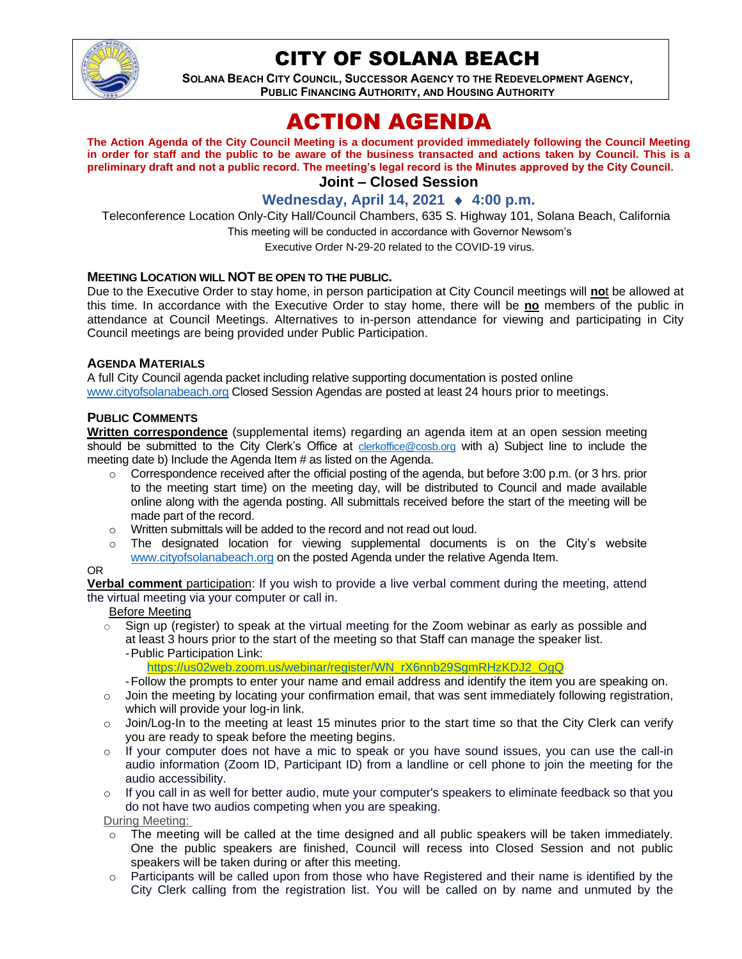

# CITY OF SOLANA BEACH

**SOLANA BEACH CITY COUNCIL, SUCCESSOR AGENCY TO THE REDEVELOPMENT AGENCY, PUBLIC FINANCING AUTHORITY, AND HOUSING AUTHORITY** 

# ACTION AGENDA

**The Action Agenda of the City Council Meeting is a document provided immediately following the Council Meeting in order for staff and the public to be aware of the business transacted and actions taken by Council. This is a preliminary draft and not a public record. The meeting's legal record is the Minutes approved by the City Council.**

**Joint – Closed Session**

# **Wednesday, April 14, 2021 ♦ 4:00 p.m.**

Teleconference Location Only-City Hall/Council Chambers, 635 S. Highway 101, Solana Beach, California This meeting will be conducted in accordance with Governor Newsom's

Executive Order N-29-20 related to the COVID-19 virus.

## **MEETING LOCATION WILL NOT BE OPEN TO THE PUBLIC.**

Due to the Executive Order to stay home, in person participation at City Council meetings will **no**t be allowed at this time. In accordance with the Executive Order to stay home, there will be **no** members of the public in attendance at Council Meetings. Alternatives to in-person attendance for viewing and participating in City Council meetings are being provided under Public Participation.

#### **AGENDA MATERIALS**

A full City Council agenda packet including relative supporting documentation is posted online [www.cityofsolanabeach.org](https://urldefense.proofpoint.com/v2/url?u=http-3A__www.cityofsolanabeach.org&d=DwQFAg&c=euGZstcaTDllvimEN8b7jXrwqOf-v5A_CdpgnVfiiMM&r=1XAsCUuqwK_tji2t0s1uIQ&m=wny2RVfZJ2tN24LkqZmkUWNpwL_peNtTZUBlTBZiMM4&s=6ATguqxJUOD7VVtloplAbyuyNaVcEh6Fl4q1iw55lCY&e=) Closed Session Agendas are posted at least 24 hours prior to meetings.

## **PUBLIC COMMENTS**

**Written correspondence** (supplemental items) regarding an agenda item at an open session meeting should be submitted to the City Clerk's Office at [clerkoffice@cosb.org](mailto:clerkoffice@cosb.org) with a) Subject line to include the meeting date b) Include the Agenda Item # as listed on the Agenda.

- $\circ$  Correspondence received after the official posting of the agenda, but before 3:00 p.m. (or 3 hrs. prior to the meeting start time) on the meeting day, will be distributed to Council and made available online along with the agenda posting. All submittals received before the start of the meeting will be made part of the record.
- o Written submittals will be added to the record and not read out loud.
- $\circ$  The designated location for viewing supplemental documents is on the City's website [www.cityofsolanabeach.org](http://www.cityofsolanabeach.org/) on the posted Agenda under the relative Agenda Item.

#### OR

**Verbal comment** participation: If you wish to provide a live verbal comment during the meeting, attend the virtual meeting via your computer or call in.

Before Meeting

 $\circ$  Sign up (register) to speak at the virtual meeting for the Zoom webinar as early as possible and at least 3 hours prior to the start of the meeting so that Staff can manage the speaker list. -Public Participation Link:

[https://us02web.zoom.us/webinar/register/WN\\_rX6nnb29SgmRHzKDJ2\\_OgQ](https://us02web.zoom.us/webinar/register/WN_rX6nnb29SgmRHzKDJ2_OgQ)

- -Follow the prompts to enter your name and email address and identify the item you are speaking on.
- $\circ$  Join the meeting by locating your confirmation email, that was sent immediately following registration, which will provide your log-in link.
- $\circ$  Join/Log-In to the meeting at least 15 minutes prior to the start time so that the City Clerk can verify you are ready to speak before the meeting begins.
- $\circ$  If your computer does not have a mic to speak or you have sound issues, you can use the call-in audio information (Zoom ID, Participant ID) from a landline or cell phone to join the meeting for the audio accessibility.
- $\circ$  If you call in as well for better audio, mute your computer's speakers to eliminate feedback so that you do not have two audios competing when you are speaking.

During Meeting:

- $\circ$  The meeting will be called at the time designed and all public speakers will be taken immediately. One the public speakers are finished, Council will recess into Closed Session and not public speakers will be taken during or after this meeting.
- $\circ$  Participants will be called upon from those who have Registered and their name is identified by the City Clerk calling from the registration list. You will be called on by name and unmuted by the